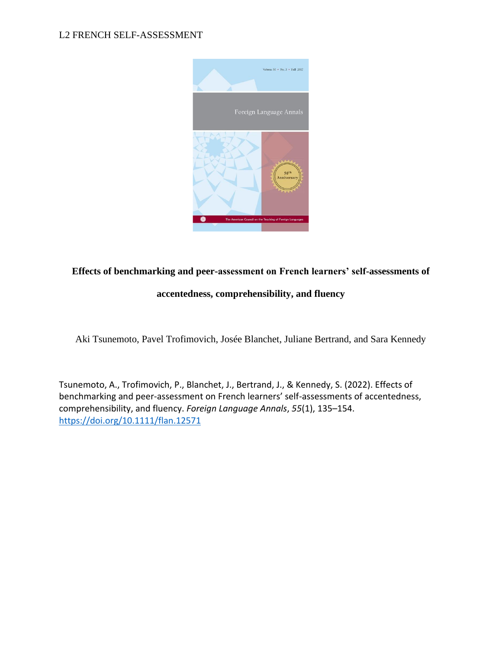

# **Effects of benchmarking and peer-assessment on French learners' self-assessments of**

# **accentedness, comprehensibility, and fluency**

Aki Tsunemoto, Pavel Trofimovich, Josée Blanchet, Juliane Bertrand, and Sara Kennedy

Tsunemoto, A., Trofimovich, P., Blanchet, J., Bertrand, J., & Kennedy, S. (2022). Effects of benchmarking and peer-assessment on French learners' self-assessments of accentedness, comprehensibility, and fluency. *Foreign Language Annals*, *55*(1), 135–154. <https://doi.org/10.1111/flan.12571>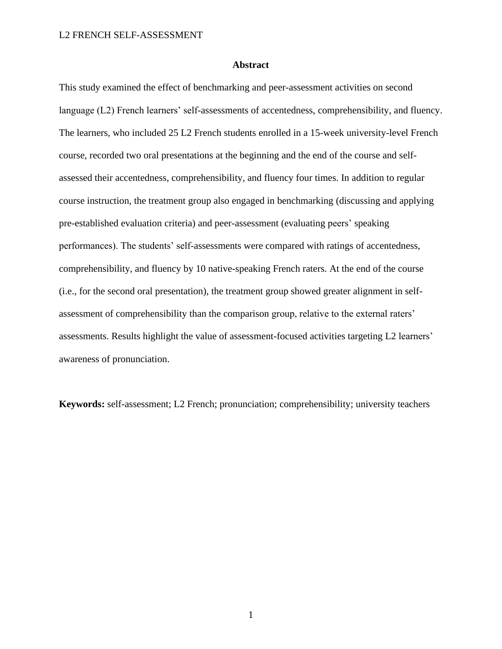## **Abstract**

This study examined the effect of benchmarking and peer-assessment activities on second language (L2) French learners' self-assessments of accentedness, comprehensibility, and fluency. The learners, who included 25 L2 French students enrolled in a 15-week university-level French course, recorded two oral presentations at the beginning and the end of the course and selfassessed their accentedness, comprehensibility, and fluency four times. In addition to regular course instruction, the treatment group also engaged in benchmarking (discussing and applying pre-established evaluation criteria) and peer-assessment (evaluating peers' speaking performances). The students' self-assessments were compared with ratings of accentedness, comprehensibility, and fluency by 10 native-speaking French raters. At the end of the course (i.e., for the second oral presentation), the treatment group showed greater alignment in selfassessment of comprehensibility than the comparison group, relative to the external raters' assessments. Results highlight the value of assessment-focused activities targeting L2 learners' awareness of pronunciation.

**Keywords:** self-assessment; L2 French; pronunciation; comprehensibility; university teachers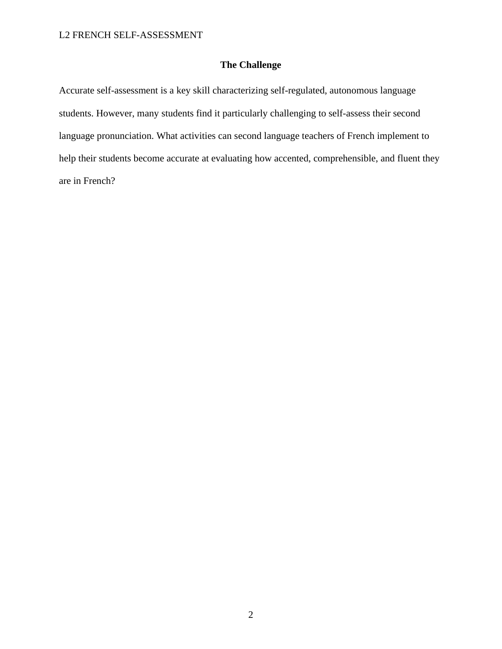# **The Challenge**

Accurate self-assessment is a key skill characterizing self-regulated, autonomous language students. However, many students find it particularly challenging to self-assess their second language pronunciation. What activities can second language teachers of French implement to help their students become accurate at evaluating how accented, comprehensible, and fluent they are in French?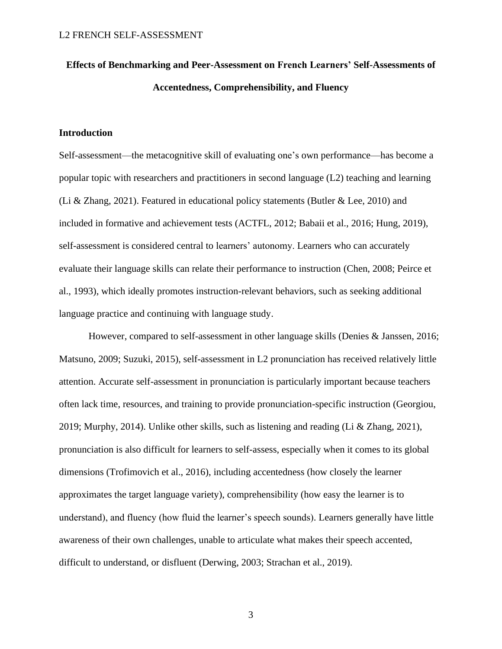# **Effects of Benchmarking and Peer-Assessment on French Learners' Self-Assessments of Accentedness, Comprehensibility, and Fluency**

# **Introduction**

Self-assessment—the metacognitive skill of evaluating one's own performance—has become a popular topic with researchers and practitioners in second language (L2) teaching and learning (Li & Zhang, 2021). Featured in educational policy statements (Butler & Lee, 2010) and included in formative and achievement tests (ACTFL, 2012; Babaii et al., 2016; Hung, 2019), self-assessment is considered central to learners' autonomy. Learners who can accurately evaluate their language skills can relate their performance to instruction (Chen, 2008; Peirce et al., 1993), which ideally promotes instruction-relevant behaviors, such as seeking additional language practice and continuing with language study.

However, compared to self-assessment in other language skills (Denies & Janssen, 2016; Matsuno, 2009; Suzuki, 2015), self-assessment in L2 pronunciation has received relatively little attention. Accurate self-assessment in pronunciation is particularly important because teachers often lack time, resources, and training to provide pronunciation-specific instruction (Georgiou, 2019; Murphy, 2014). Unlike other skills, such as listening and reading (Li & Zhang, 2021), pronunciation is also difficult for learners to self-assess, especially when it comes to its global dimensions (Trofimovich et al., 2016), including accentedness (how closely the learner approximates the target language variety), comprehensibility (how easy the learner is to understand), and fluency (how fluid the learner's speech sounds). Learners generally have little awareness of their own challenges, unable to articulate what makes their speech accented, difficult to understand, or disfluent (Derwing, 2003; Strachan et al., 2019).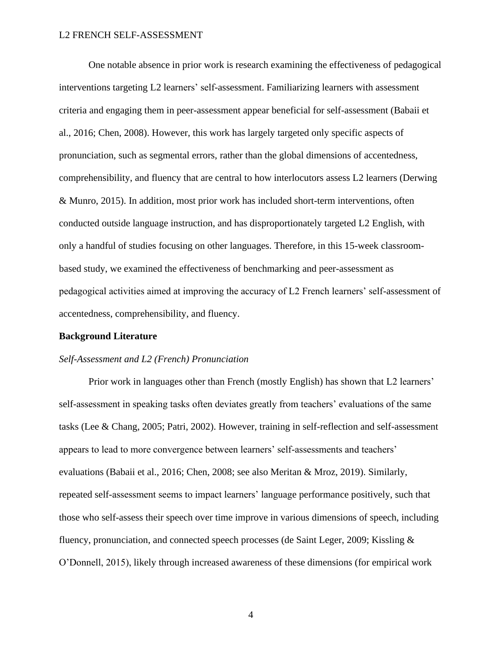One notable absence in prior work is research examining the effectiveness of pedagogical interventions targeting L2 learners' self-assessment. Familiarizing learners with assessment criteria and engaging them in peer-assessment appear beneficial for self-assessment (Babaii et al., 2016; Chen, 2008). However, this work has largely targeted only specific aspects of pronunciation, such as segmental errors, rather than the global dimensions of accentedness, comprehensibility, and fluency that are central to how interlocutors assess L2 learners (Derwing & Munro, 2015). In addition, most prior work has included short-term interventions, often conducted outside language instruction, and has disproportionately targeted L2 English, with only a handful of studies focusing on other languages. Therefore, in this 15-week classroombased study, we examined the effectiveness of benchmarking and peer-assessment as pedagogical activities aimed at improving the accuracy of L2 French learners' self-assessment of accentedness, comprehensibility, and fluency.

# **Background Literature**

#### *Self-Assessment and L2 (French) Pronunciation*

Prior work in languages other than French (mostly English) has shown that L2 learners' self-assessment in speaking tasks often deviates greatly from teachers' evaluations of the same tasks (Lee & Chang, 2005; Patri, 2002). However, training in self-reflection and self-assessment appears to lead to more convergence between learners' self-assessments and teachers' evaluations (Babaii et al., 2016; Chen, 2008; see also Meritan & Mroz, 2019). Similarly, repeated self-assessment seems to impact learners' language performance positively, such that those who self-assess their speech over time improve in various dimensions of speech, including fluency, pronunciation, and connected speech processes (de Saint Leger, 2009; Kissling & O'Donnell, 2015), likely through increased awareness of these dimensions (for empirical work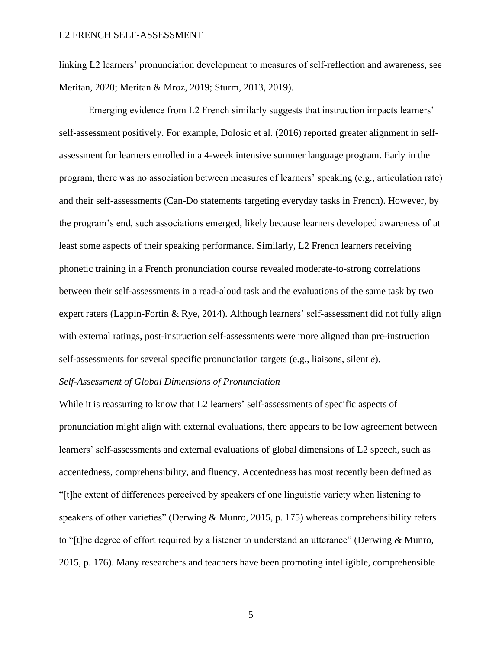linking L2 learners' pronunciation development to measures of self-reflection and awareness, see Meritan, 2020; Meritan & Mroz, 2019; Sturm, 2013, 2019).

Emerging evidence from L2 French similarly suggests that instruction impacts learners' self-assessment positively. For example, Dolosic et al. (2016) reported greater alignment in selfassessment for learners enrolled in a 4-week intensive summer language program. Early in the program, there was no association between measures of learners' speaking (e.g., articulation rate) and their self-assessments (Can-Do statements targeting everyday tasks in French). However, by the program's end, such associations emerged, likely because learners developed awareness of at least some aspects of their speaking performance. Similarly, L2 French learners receiving phonetic training in a French pronunciation course revealed moderate-to-strong correlations between their self-assessments in a read-aloud task and the evaluations of the same task by two expert raters (Lappin-Fortin & Rye, 2014). Although learners' self-assessment did not fully align with external ratings, post-instruction self-assessments were more aligned than pre-instruction self-assessments for several specific pronunciation targets (e.g., liaisons, silent *e*).

# *Self-Assessment of Global Dimensions of Pronunciation*

While it is reassuring to know that L2 learners' self-assessments of specific aspects of pronunciation might align with external evaluations, there appears to be low agreement between learners' self-assessments and external evaluations of global dimensions of L2 speech, such as accentedness, comprehensibility, and fluency. Accentedness has most recently been defined as "[t]he extent of differences perceived by speakers of one linguistic variety when listening to speakers of other varieties" (Derwing & Munro, 2015, p. 175) whereas comprehensibility refers to "[t]he degree of effort required by a listener to understand an utterance" (Derwing & Munro, 2015, p. 176). Many researchers and teachers have been promoting intelligible, comprehensible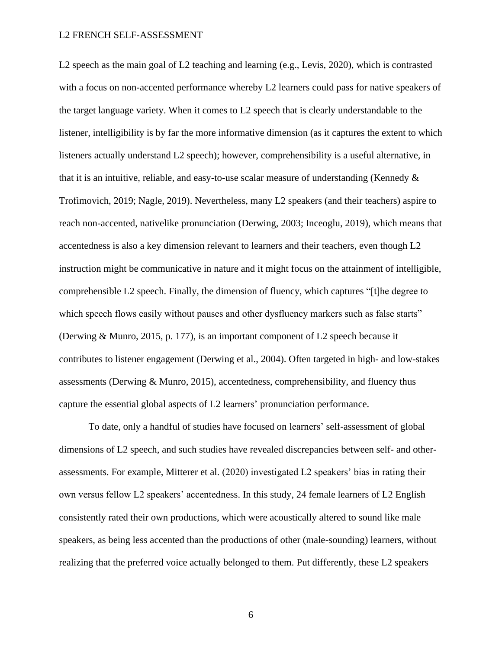L2 speech as the main goal of L2 teaching and learning (e.g., Levis, 2020), which is contrasted with a focus on non-accented performance whereby L2 learners could pass for native speakers of the target language variety. When it comes to L2 speech that is clearly understandable to the listener, intelligibility is by far the more informative dimension (as it captures the extent to which listeners actually understand L2 speech); however, comprehensibility is a useful alternative, in that it is an intuitive, reliable, and easy-to-use scalar measure of understanding (Kennedy  $\&$ Trofimovich, 2019; Nagle, 2019). Nevertheless, many L2 speakers (and their teachers) aspire to reach non-accented, nativelike pronunciation (Derwing, 2003; Inceoglu, 2019), which means that accentedness is also a key dimension relevant to learners and their teachers, even though L2 instruction might be communicative in nature and it might focus on the attainment of intelligible, comprehensible L2 speech. Finally, the dimension of fluency, which captures "[t]he degree to which speech flows easily without pauses and other dysfluency markers such as false starts" (Derwing & Munro, 2015, p. 177), is an important component of L2 speech because it contributes to listener engagement (Derwing et al., 2004). Often targeted in high- and low-stakes assessments (Derwing & Munro, 2015), accentedness, comprehensibility, and fluency thus capture the essential global aspects of L2 learners' pronunciation performance.

To date, only a handful of studies have focused on learners' self-assessment of global dimensions of L2 speech, and such studies have revealed discrepancies between self- and otherassessments. For example, Mitterer et al. (2020) investigated L2 speakers' bias in rating their own versus fellow L2 speakers' accentedness. In this study, 24 female learners of L2 English consistently rated their own productions, which were acoustically altered to sound like male speakers, as being less accented than the productions of other (male-sounding) learners, without realizing that the preferred voice actually belonged to them. Put differently, these L2 speakers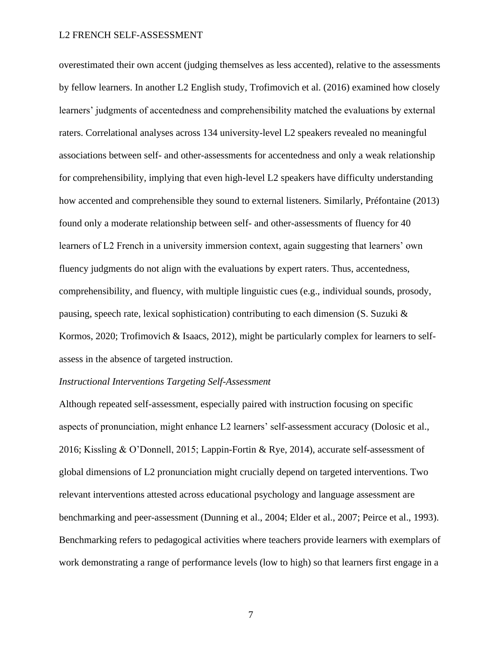overestimated their own accent (judging themselves as less accented), relative to the assessments by fellow learners. In another L2 English study, Trofimovich et al. (2016) examined how closely learners' judgments of accentedness and comprehensibility matched the evaluations by external raters. Correlational analyses across 134 university-level L2 speakers revealed no meaningful associations between self- and other-assessments for accentedness and only a weak relationship for comprehensibility, implying that even high-level L2 speakers have difficulty understanding how accented and comprehensible they sound to external listeners. Similarly, Préfontaine (2013) found only a moderate relationship between self- and other-assessments of fluency for 40 learners of L2 French in a university immersion context, again suggesting that learners' own fluency judgments do not align with the evaluations by expert raters. Thus, accentedness, comprehensibility, and fluency, with multiple linguistic cues (e.g., individual sounds, prosody, pausing, speech rate, lexical sophistication) contributing to each dimension (S. Suzuki & Kormos, 2020; Trofimovich & Isaacs, 2012), might be particularly complex for learners to selfassess in the absence of targeted instruction.

# *Instructional Interventions Targeting Self-Assessment*

Although repeated self-assessment, especially paired with instruction focusing on specific aspects of pronunciation, might enhance L2 learners' self-assessment accuracy (Dolosic et al., 2016; Kissling & O'Donnell, 2015; Lappin-Fortin & Rye, 2014), accurate self-assessment of global dimensions of L2 pronunciation might crucially depend on targeted interventions. Two relevant interventions attested across educational psychology and language assessment are benchmarking and peer-assessment (Dunning et al., 2004; Elder et al., 2007; Peirce et al., 1993). Benchmarking refers to pedagogical activities where teachers provide learners with exemplars of work demonstrating a range of performance levels (low to high) so that learners first engage in a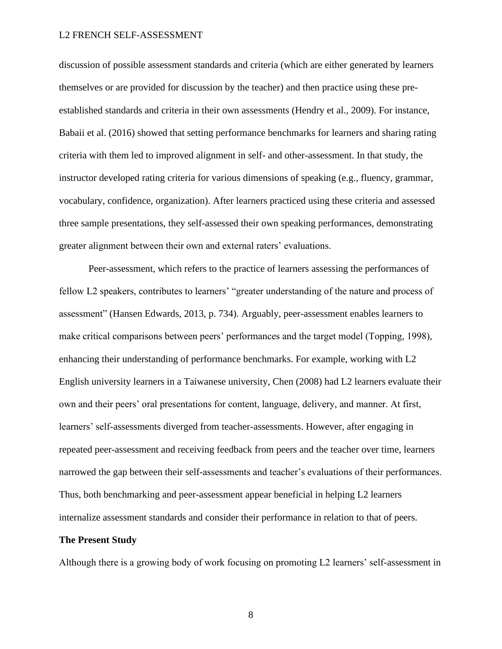discussion of possible assessment standards and criteria (which are either generated by learners themselves or are provided for discussion by the teacher) and then practice using these preestablished standards and criteria in their own assessments (Hendry et al., 2009). For instance, Babaii et al. (2016) showed that setting performance benchmarks for learners and sharing rating criteria with them led to improved alignment in self- and other-assessment. In that study, the instructor developed rating criteria for various dimensions of speaking (e.g., fluency, grammar, vocabulary, confidence, organization). After learners practiced using these criteria and assessed three sample presentations, they self-assessed their own speaking performances, demonstrating greater alignment between their own and external raters' evaluations.

Peer-assessment, which refers to the practice of learners assessing the performances of fellow L2 speakers, contributes to learners' "greater understanding of the nature and process of assessment" (Hansen Edwards, 2013, p. 734). Arguably, peer-assessment enables learners to make critical comparisons between peers' performances and the target model (Topping, 1998), enhancing their understanding of performance benchmarks. For example, working with L2 English university learners in a Taiwanese university, Chen (2008) had L2 learners evaluate their own and their peers' oral presentations for content, language, delivery, and manner. At first, learners' self-assessments diverged from teacher-assessments. However, after engaging in repeated peer-assessment and receiving feedback from peers and the teacher over time, learners narrowed the gap between their self-assessments and teacher's evaluations of their performances. Thus, both benchmarking and peer-assessment appear beneficial in helping L2 learners internalize assessment standards and consider their performance in relation to that of peers.

# **The Present Study**

Although there is a growing body of work focusing on promoting L2 learners' self-assessment in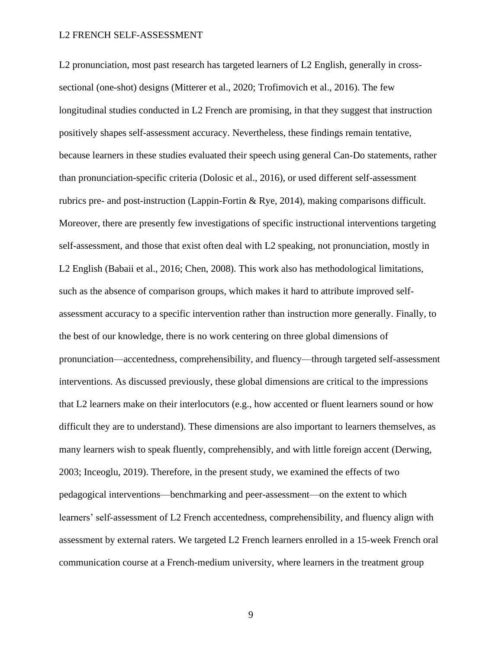L2 pronunciation, most past research has targeted learners of L2 English, generally in crosssectional (one-shot) designs (Mitterer et al., 2020; Trofimovich et al., 2016). The few longitudinal studies conducted in L2 French are promising, in that they suggest that instruction positively shapes self-assessment accuracy. Nevertheless, these findings remain tentative, because learners in these studies evaluated their speech using general Can-Do statements, rather than pronunciation-specific criteria (Dolosic et al., 2016), or used different self-assessment rubrics pre- and post-instruction (Lappin-Fortin & Rye, 2014), making comparisons difficult. Moreover, there are presently few investigations of specific instructional interventions targeting self-assessment, and those that exist often deal with L2 speaking, not pronunciation, mostly in L2 English (Babaii et al., 2016; Chen, 2008). This work also has methodological limitations, such as the absence of comparison groups, which makes it hard to attribute improved selfassessment accuracy to a specific intervention rather than instruction more generally. Finally, to the best of our knowledge, there is no work centering on three global dimensions of pronunciation—accentedness, comprehensibility, and fluency—through targeted self-assessment interventions. As discussed previously, these global dimensions are critical to the impressions that L2 learners make on their interlocutors (e.g., how accented or fluent learners sound or how difficult they are to understand). These dimensions are also important to learners themselves, as many learners wish to speak fluently, comprehensibly, and with little foreign accent (Derwing, 2003; Inceoglu, 2019). Therefore, in the present study, we examined the effects of two pedagogical interventions––benchmarking and peer-assessment––on the extent to which learners' self-assessment of L2 French accentedness, comprehensibility, and fluency align with assessment by external raters. We targeted L2 French learners enrolled in a 15-week French oral communication course at a French-medium university, where learners in the treatment group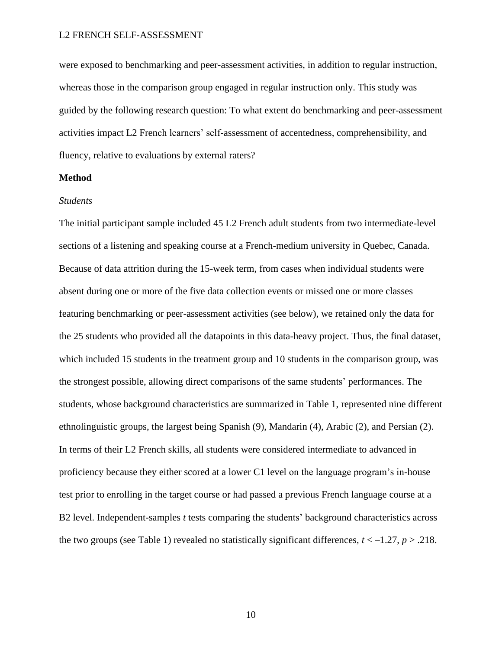were exposed to benchmarking and peer-assessment activities, in addition to regular instruction, whereas those in the comparison group engaged in regular instruction only. This study was guided by the following research question: To what extent do benchmarking and peer-assessment activities impact L2 French learners' self-assessment of accentedness, comprehensibility, and fluency, relative to evaluations by external raters?

# **Method**

# *Students*

The initial participant sample included 45 L2 French adult students from two intermediate-level sections of a listening and speaking course at a French-medium university in Quebec, Canada. Because of data attrition during the 15-week term, from cases when individual students were absent during one or more of the five data collection events or missed one or more classes featuring benchmarking or peer-assessment activities (see below), we retained only the data for the 25 students who provided all the datapoints in this data-heavy project. Thus, the final dataset, which included 15 students in the treatment group and 10 students in the comparison group, was the strongest possible, allowing direct comparisons of the same students' performances. The students, whose background characteristics are summarized in Table 1, represented nine different ethnolinguistic groups, the largest being Spanish (9), Mandarin (4), Arabic (2), and Persian (2). In terms of their L2 French skills, all students were considered intermediate to advanced in proficiency because they either scored at a lower C1 level on the language program's in-house test prior to enrolling in the target course or had passed a previous French language course at a B2 level. Independent-samples *t* tests comparing the students' background characteristics across the two groups (see Table 1) revealed no statistically significant differences,  $t < -1.27$ ,  $p > .218$ .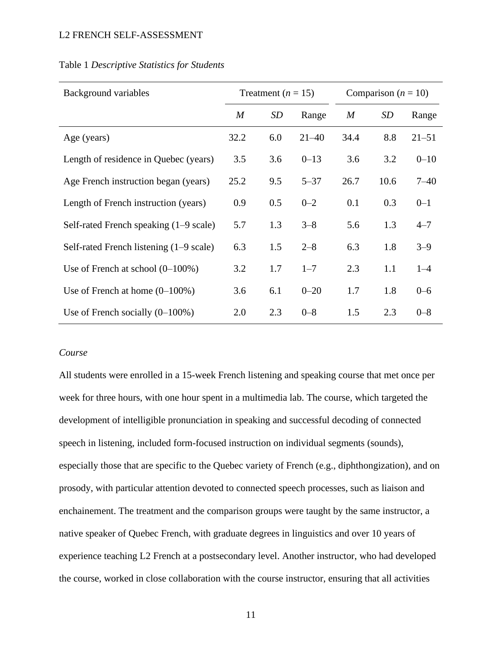| Background variables                    | Treatment $(n = 15)$ |           |           | Comparison ( $n = 10$ ) |      |           |  |
|-----------------------------------------|----------------------|-----------|-----------|-------------------------|------|-----------|--|
|                                         | $\boldsymbol{M}$     | <b>SD</b> | Range     | $\boldsymbol{M}$        | SD   | Range     |  |
| Age (years)                             | 32.2                 | 6.0       | $21 - 40$ | 34.4                    | 8.8  | $21 - 51$ |  |
| Length of residence in Quebec (years)   | 3.5                  | 3.6       | $0 - 13$  | 3.6                     | 3.2  | $0 - 10$  |  |
| Age French instruction began (years)    | 25.2                 | 9.5       | $5 - 37$  | 26.7                    | 10.6 | $7 - 40$  |  |
| Length of French instruction (years)    | 0.9                  | 0.5       | $0 - 2$   | 0.1                     | 0.3  | $0 - 1$   |  |
| Self-rated French speaking (1–9 scale)  | 5.7                  | 1.3       | $3 - 8$   | 5.6                     | 1.3  | $4 - 7$   |  |
| Self-rated French listening (1–9 scale) | 6.3                  | 1.5       | $2 - 8$   | 6.3                     | 1.8  | $3 - 9$   |  |
| Use of French at school $(0-100\%)$     | 3.2                  | 1.7       | $1 - 7$   | 2.3                     | 1.1  | $1 - 4$   |  |
| Use of French at home $(0-100\%)$       | 3.6                  | 6.1       | $0 - 20$  | 1.7                     | 1.8  | $0 - 6$   |  |
| Use of French socially $(0-100\%)$      | 2.0                  | 2.3       | $0 - 8$   | 1.5                     | 2.3  | $0 - 8$   |  |

# Table 1 *Descriptive Statistics for Students*

# *Course*

All students were enrolled in a 15-week French listening and speaking course that met once per week for three hours, with one hour spent in a multimedia lab. The course, which targeted the development of intelligible pronunciation in speaking and successful decoding of connected speech in listening, included form-focused instruction on individual segments (sounds), especially those that are specific to the Quebec variety of French (e.g., diphthongization), and on prosody, with particular attention devoted to connected speech processes, such as liaison and enchainement. The treatment and the comparison groups were taught by the same instructor, a native speaker of Quebec French, with graduate degrees in linguistics and over 10 years of experience teaching L2 French at a postsecondary level. Another instructor, who had developed the course, worked in close collaboration with the course instructor, ensuring that all activities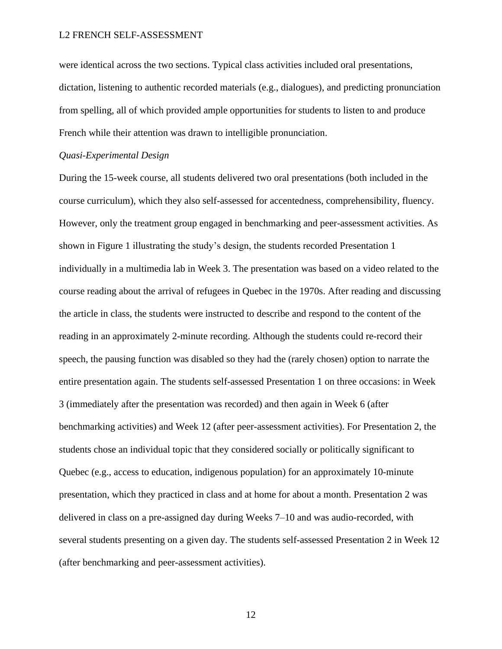were identical across the two sections. Typical class activities included oral presentations, dictation, listening to authentic recorded materials (e.g., dialogues), and predicting pronunciation from spelling, all of which provided ample opportunities for students to listen to and produce French while their attention was drawn to intelligible pronunciation.

# *Quasi-Experimental Design*

During the 15-week course, all students delivered two oral presentations (both included in the course curriculum), which they also self-assessed for accentedness, comprehensibility, fluency. However, only the treatment group engaged in benchmarking and peer-assessment activities. As shown in Figure 1 illustrating the study's design, the students recorded Presentation 1 individually in a multimedia lab in Week 3. The presentation was based on a video related to the course reading about the arrival of refugees in Quebec in the 1970s. After reading and discussing the article in class, the students were instructed to describe and respond to the content of the reading in an approximately 2-minute recording. Although the students could re-record their speech, the pausing function was disabled so they had the (rarely chosen) option to narrate the entire presentation again. The students self-assessed Presentation 1 on three occasions: in Week 3 (immediately after the presentation was recorded) and then again in Week 6 (after benchmarking activities) and Week 12 (after peer-assessment activities). For Presentation 2, the students chose an individual topic that they considered socially or politically significant to Quebec (e.g., access to education, indigenous population) for an approximately 10-minute presentation, which they practiced in class and at home for about a month. Presentation 2 was delivered in class on a pre-assigned day during Weeks 7–10 and was audio-recorded, with several students presenting on a given day. The students self-assessed Presentation 2 in Week 12 (after benchmarking and peer-assessment activities).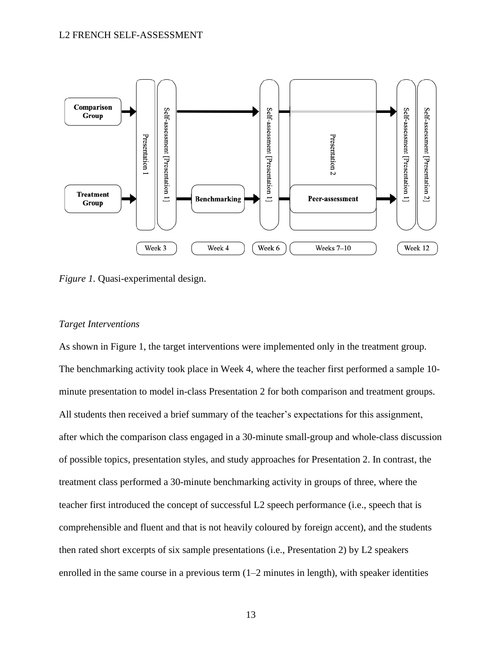

*Figure 1.* Quasi-experimental design.

# *Target Interventions*

As shown in Figure 1, the target interventions were implemented only in the treatment group. The benchmarking activity took place in Week 4, where the teacher first performed a sample 10 minute presentation to model in-class Presentation 2 for both comparison and treatment groups. All students then received a brief summary of the teacher's expectations for this assignment, after which the comparison class engaged in a 30-minute small-group and whole-class discussion of possible topics, presentation styles, and study approaches for Presentation 2. In contrast, the treatment class performed a 30-minute benchmarking activity in groups of three, where the teacher first introduced the concept of successful L2 speech performance (i.e., speech that is comprehensible and fluent and that is not heavily coloured by foreign accent), and the students then rated short excerpts of six sample presentations (i.e., Presentation 2) by L2 speakers enrolled in the same course in a previous term  $(1-2)$  minutes in length), with speaker identities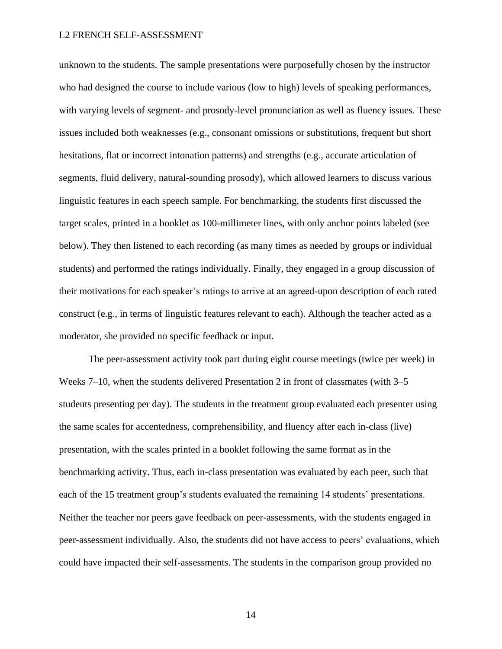unknown to the students. The sample presentations were purposefully chosen by the instructor who had designed the course to include various (low to high) levels of speaking performances, with varying levels of segment- and prosody-level pronunciation as well as fluency issues. These issues included both weaknesses (e.g., consonant omissions or substitutions, frequent but short hesitations, flat or incorrect intonation patterns) and strengths (e.g., accurate articulation of segments, fluid delivery, natural-sounding prosody), which allowed learners to discuss various linguistic features in each speech sample. For benchmarking, the students first discussed the target scales, printed in a booklet as 100-millimeter lines, with only anchor points labeled (see below). They then listened to each recording (as many times as needed by groups or individual students) and performed the ratings individually. Finally, they engaged in a group discussion of their motivations for each speaker's ratings to arrive at an agreed-upon description of each rated construct (e.g., in terms of linguistic features relevant to each). Although the teacher acted as a moderator, she provided no specific feedback or input.

The peer-assessment activity took part during eight course meetings (twice per week) in Weeks 7–10, when the students delivered Presentation 2 in front of classmates (with 3–5 students presenting per day). The students in the treatment group evaluated each presenter using the same scales for accentedness, comprehensibility, and fluency after each in-class (live) presentation, with the scales printed in a booklet following the same format as in the benchmarking activity. Thus, each in-class presentation was evaluated by each peer, such that each of the 15 treatment group's students evaluated the remaining 14 students' presentations. Neither the teacher nor peers gave feedback on peer-assessments, with the students engaged in peer-assessment individually. Also, the students did not have access to peers' evaluations, which could have impacted their self-assessments. The students in the comparison group provided no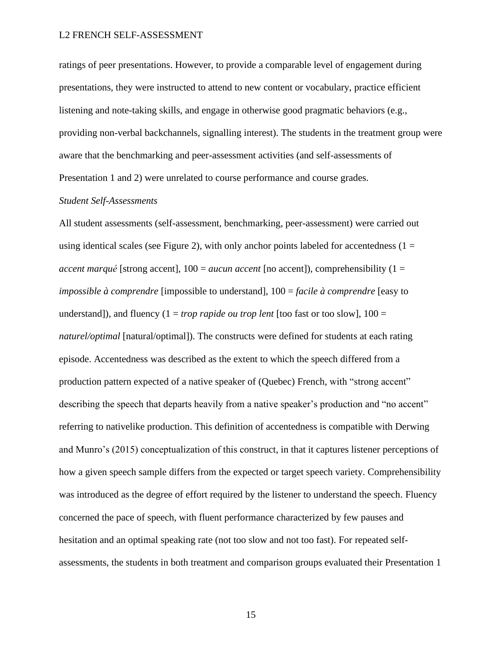ratings of peer presentations. However, to provide a comparable level of engagement during presentations, they were instructed to attend to new content or vocabulary, practice efficient listening and note-taking skills, and engage in otherwise good pragmatic behaviors (e.g., providing non-verbal backchannels, signalling interest). The students in the treatment group were aware that the benchmarking and peer-assessment activities (and self-assessments of Presentation 1 and 2) were unrelated to course performance and course grades.

# *Student Self-Assessments*

All student assessments (self-assessment, benchmarking, peer-assessment) were carried out using identical scales (see Figure 2), with only anchor points labeled for accentedness  $(1 =$ *accent marqué* [strong accent], 100 = *aucun accent* [no accent]), comprehensibility (1 = *impossible à comprendre* [impossible to understand], 100 = *facile à comprendre* [easy to understand]), and fluency  $(1 = trop \n{ rapid} \n{ e } \n{ or } \n{ t }$  [too fast or too slow],  $100 =$ *naturel/optimal* [natural/optimal]). The constructs were defined for students at each rating episode. Accentedness was described as the extent to which the speech differed from a production pattern expected of a native speaker of (Quebec) French, with "strong accent" describing the speech that departs heavily from a native speaker's production and "no accent" referring to nativelike production. This definition of accentedness is compatible with Derwing and Munro's (2015) conceptualization of this construct, in that it captures listener perceptions of how a given speech sample differs from the expected or target speech variety. Comprehensibility was introduced as the degree of effort required by the listener to understand the speech. Fluency concerned the pace of speech, with fluent performance characterized by few pauses and hesitation and an optimal speaking rate (not too slow and not too fast). For repeated selfassessments, the students in both treatment and comparison groups evaluated their Presentation 1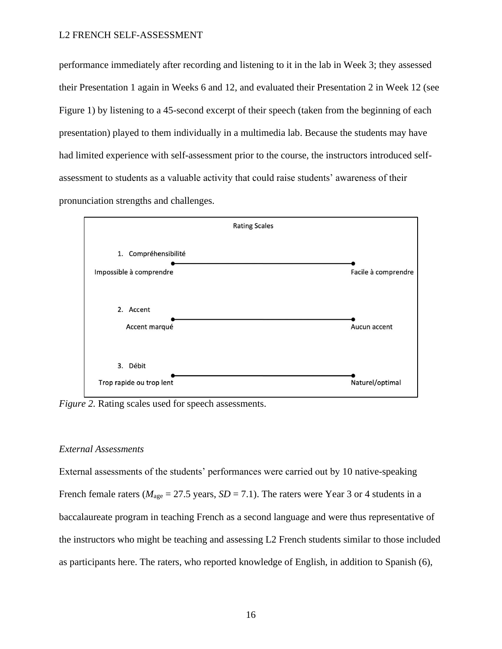performance immediately after recording and listening to it in the lab in Week 3; they assessed their Presentation 1 again in Weeks 6 and 12, and evaluated their Presentation 2 in Week 12 (see Figure 1) by listening to a 45-second excerpt of their speech (taken from the beginning of each presentation) played to them individually in a multimedia lab. Because the students may have had limited experience with self-assessment prior to the course, the instructors introduced selfassessment to students as a valuable activity that could raise students' awareness of their pronunciation strengths and challenges.



*Figure 2.* Rating scales used for speech assessments.

# *External Assessments*

External assessments of the students' performances were carried out by 10 native-speaking French female raters ( $M_{\text{age}} = 27.5$  years,  $SD = 7.1$ ). The raters were Year 3 or 4 students in a baccalaureate program in teaching French as a second language and were thus representative of the instructors who might be teaching and assessing L2 French students similar to those included as participants here. The raters, who reported knowledge of English, in addition to Spanish (6),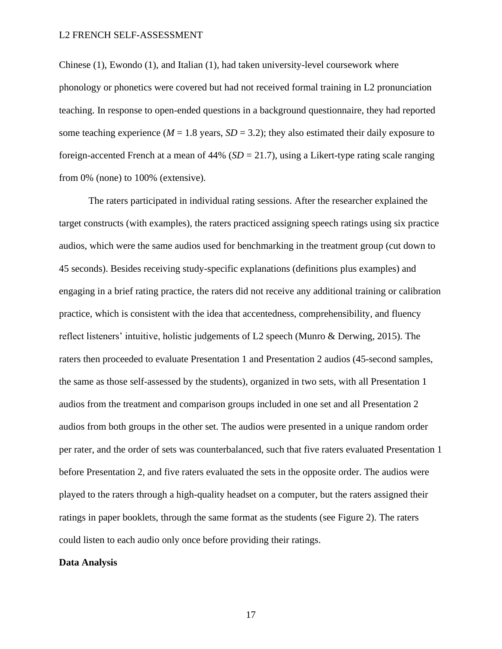Chinese (1), Ewondo (1), and Italian (1), had taken university-level coursework where phonology or phonetics were covered but had not received formal training in L2 pronunciation teaching. In response to open-ended questions in a background questionnaire, they had reported some teaching experience ( $M = 1.8$  years,  $SD = 3.2$ ); they also estimated their daily exposure to foreign-accented French at a mean of 44% (*SD* = 21.7), using a Likert-type rating scale ranging from 0% (none) to 100% (extensive).

The raters participated in individual rating sessions. After the researcher explained the target constructs (with examples), the raters practiced assigning speech ratings using six practice audios, which were the same audios used for benchmarking in the treatment group (cut down to 45 seconds). Besides receiving study-specific explanations (definitions plus examples) and engaging in a brief rating practice, the raters did not receive any additional training or calibration practice, which is consistent with the idea that accentedness, comprehensibility, and fluency reflect listeners' intuitive, holistic judgements of L2 speech (Munro & Derwing, 2015). The raters then proceeded to evaluate Presentation 1 and Presentation 2 audios (45-second samples, the same as those self-assessed by the students), organized in two sets, with all Presentation 1 audios from the treatment and comparison groups included in one set and all Presentation 2 audios from both groups in the other set. The audios were presented in a unique random order per rater, and the order of sets was counterbalanced, such that five raters evaluated Presentation 1 before Presentation 2, and five raters evaluated the sets in the opposite order. The audios were played to the raters through a high-quality headset on a computer, but the raters assigned their ratings in paper booklets, through the same format as the students (see Figure 2). The raters could listen to each audio only once before providing their ratings.

### **Data Analysis**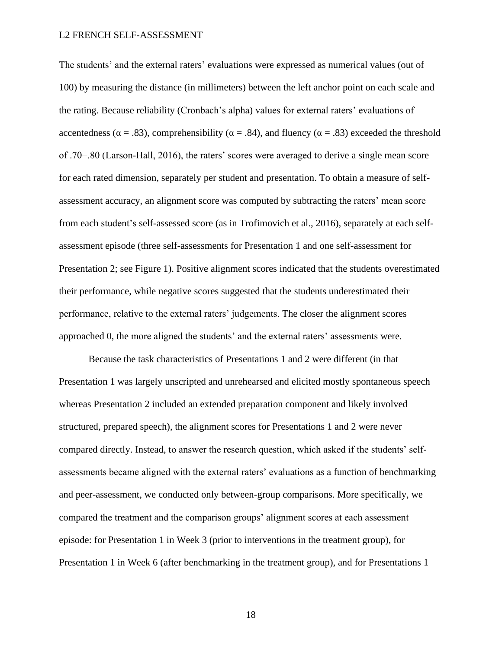The students' and the external raters' evaluations were expressed as numerical values (out of 100) by measuring the distance (in millimeters) between the left anchor point on each scale and the rating. Because reliability (Cronbach's alpha) values for external raters' evaluations of accentedness ( $\alpha = .83$ ), comprehensibility ( $\alpha = .84$ ), and fluency ( $\alpha = .83$ ) exceeded the threshold of .70−.80 (Larson-Hall, 2016), the raters' scores were averaged to derive a single mean score for each rated dimension, separately per student and presentation. To obtain a measure of selfassessment accuracy, an alignment score was computed by subtracting the raters' mean score from each student's self-assessed score (as in Trofimovich et al., 2016), separately at each selfassessment episode (three self-assessments for Presentation 1 and one self-assessment for Presentation 2; see Figure 1). Positive alignment scores indicated that the students overestimated their performance, while negative scores suggested that the students underestimated their performance, relative to the external raters' judgements. The closer the alignment scores approached 0, the more aligned the students' and the external raters' assessments were.

Because the task characteristics of Presentations 1 and 2 were different (in that Presentation 1 was largely unscripted and unrehearsed and elicited mostly spontaneous speech whereas Presentation 2 included an extended preparation component and likely involved structured, prepared speech), the alignment scores for Presentations 1 and 2 were never compared directly. Instead, to answer the research question, which asked if the students' selfassessments became aligned with the external raters' evaluations as a function of benchmarking and peer-assessment, we conducted only between-group comparisons. More specifically, we compared the treatment and the comparison groups' alignment scores at each assessment episode: for Presentation 1 in Week 3 (prior to interventions in the treatment group), for Presentation 1 in Week 6 (after benchmarking in the treatment group), and for Presentations 1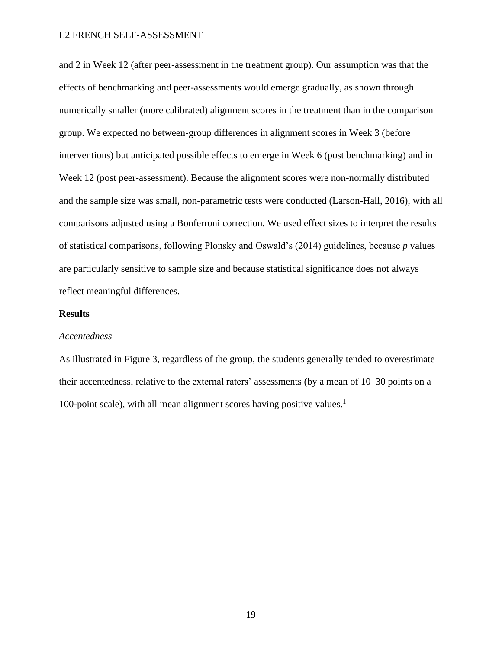and 2 in Week 12 (after peer-assessment in the treatment group). Our assumption was that the effects of benchmarking and peer-assessments would emerge gradually, as shown through numerically smaller (more calibrated) alignment scores in the treatment than in the comparison group. We expected no between-group differences in alignment scores in Week 3 (before interventions) but anticipated possible effects to emerge in Week 6 (post benchmarking) and in Week 12 (post peer-assessment). Because the alignment scores were non-normally distributed and the sample size was small, non-parametric tests were conducted (Larson-Hall, 2016), with all comparisons adjusted using a Bonferroni correction. We used effect sizes to interpret the results of statistical comparisons, following Plonsky and Oswald's (2014) guidelines, because *p* values are particularly sensitive to sample size and because statistical significance does not always reflect meaningful differences.

# **Results**

# *Accentedness*

As illustrated in Figure 3, regardless of the group, the students generally tended to overestimate their accentedness, relative to the external raters' assessments (by a mean of 10–30 points on a 100-point scale), with all mean alignment scores having positive values.<sup>1</sup>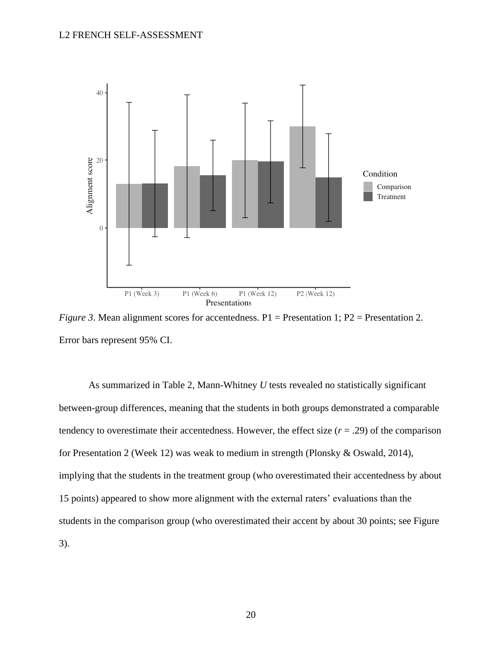

*Figure 3.* Mean alignment scores for accentedness. P1 = Presentation 1; P2 = Presentation 2. Error bars represent 95% CI.

As summarized in Table 2, Mann-Whitney *U* tests revealed no statistically significant between-group differences, meaning that the students in both groups demonstrated a comparable tendency to overestimate their accentedness. However, the effect size  $(r = .29)$  of the comparison for Presentation 2 (Week 12) was weak to medium in strength (Plonsky & Oswald, 2014), implying that the students in the treatment group (who overestimated their accentedness by about 15 points) appeared to show more alignment with the external raters' evaluations than the students in the comparison group (who overestimated their accent by about 30 points; see Figure 3).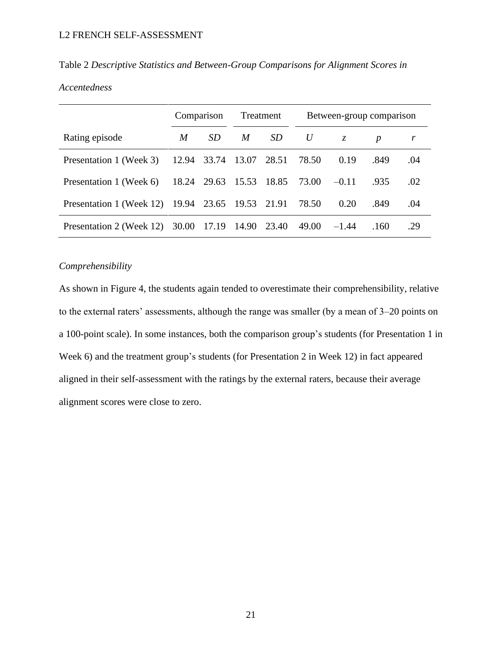# Table 2 *Descriptive Statistics and Between-Group Comparisons for Alignment Scores in*

# *Accentedness*

|                                                        |   | Treatment<br>Comparison |   | Between-group comparison      |       |             |                  |     |
|--------------------------------------------------------|---|-------------------------|---|-------------------------------|-------|-------------|------------------|-----|
| Rating episode                                         | M | SD.                     | M | SD                            | U     | $Z_{\cdot}$ | $\boldsymbol{p}$ |     |
| Presentation 1 (Week 3)                                |   | 12.94 33.74 13.07 28.51 |   |                               | 78.50 | 0.19        | .849             | .04 |
| Presentation 1 (Week 6)                                |   |                         |   | 18.24 29.63 15.53 18.85 73.00 |       | $-0.11$     | .935             | .02 |
| Presentation 1 (Week 12) 19.94 23.65 19.53 21.91 78.50 |   |                         |   |                               |       | 0.20        | .849             | .04 |
| Presentation 2 (Week 12) 30.00 17.19 14.90 23.40       |   |                         |   |                               | 49.00 | $-1.44$     | .160             | .29 |

# *Comprehensibility*

As shown in Figure 4, the students again tended to overestimate their comprehensibility, relative to the external raters' assessments, although the range was smaller (by a mean of 3–20 points on a 100-point scale). In some instances, both the comparison group's students (for Presentation 1 in Week 6) and the treatment group's students (for Presentation 2 in Week 12) in fact appeared aligned in their self-assessment with the ratings by the external raters, because their average alignment scores were close to zero.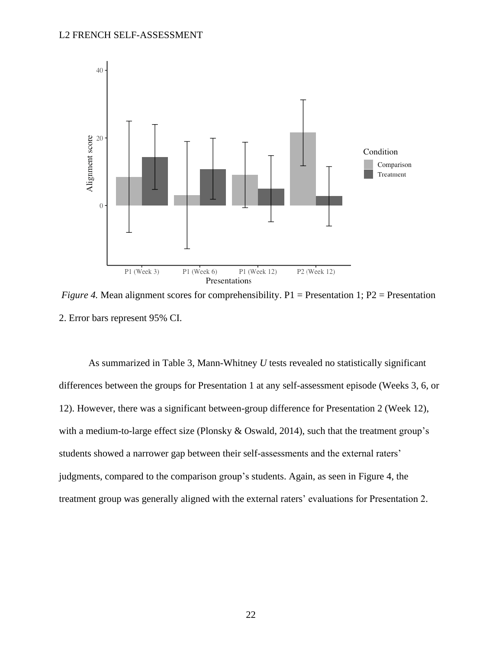

*Figure 4.* Mean alignment scores for comprehensibility. P1 = Presentation 1; P2 = Presentation 2. Error bars represent 95% CI.

As summarized in Table 3, Mann-Whitney *U* tests revealed no statistically significant differences between the groups for Presentation 1 at any self-assessment episode (Weeks 3, 6, or 12). However, there was a significant between-group difference for Presentation 2 (Week 12), with a medium-to-large effect size (Plonsky & Oswald, 2014), such that the treatment group's students showed a narrower gap between their self-assessments and the external raters' judgments, compared to the comparison group's students. Again, as seen in Figure 4, the treatment group was generally aligned with the external raters' evaluations for Presentation 2.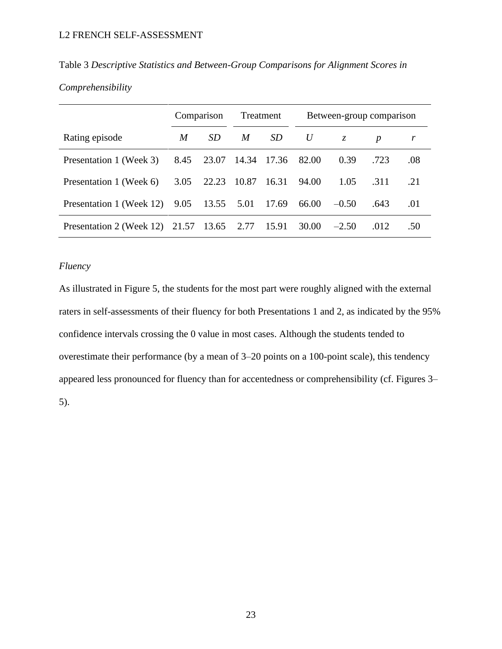|                                                 |      | Comparison<br>Treatment |       | Between-group comparison |       |             |                  |     |
|-------------------------------------------------|------|-------------------------|-------|--------------------------|-------|-------------|------------------|-----|
| Rating episode                                  | M    | SD                      | M     | <i>SD</i>                | U     | $Z_{\cdot}$ | $\boldsymbol{p}$ |     |
| Presentation 1 (Week 3)                         |      | 8.45 23.07 14.34 17.36  |       |                          | 82.00 | 0.39        | .723             | .08 |
| Presentation 1 (Week 6)                         | 3.05 | 22.23                   | 10.87 | 16.31                    | 94.00 | 1.05        | .311             | .21 |
| Presentation 1 (Week 12) 9.05 13.55 5.01 17.69  |      |                         |       |                          | 66.00 | $-0.50$     | .643             | .01 |
| Presentation 2 (Week 12) 21.57 13.65 2.77 15.91 |      |                         |       |                          | 30.00 | $-2.50$     | .012             | .50 |

Table 3 *Descriptive Statistics and Between-Group Comparisons for Alignment Scores in* 

# *Comprehensibility*

# *Fluency*

As illustrated in Figure 5, the students for the most part were roughly aligned with the external raters in self-assessments of their fluency for both Presentations 1 and 2, as indicated by the 95% confidence intervals crossing the 0 value in most cases. Although the students tended to overestimate their performance (by a mean of 3–20 points on a 100-point scale), this tendency appeared less pronounced for fluency than for accentedness or comprehensibility (cf. Figures 3– 5).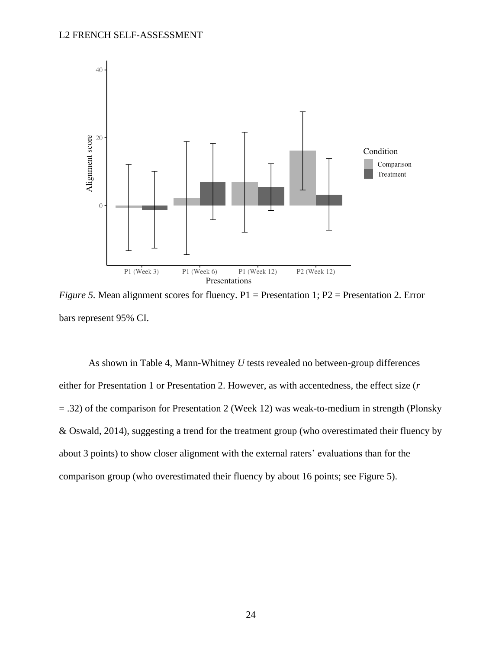

*Figure 5.* Mean alignment scores for fluency. P1 = Presentation 1; P2 = Presentation 2. Error bars represent 95% CI.

As shown in Table 4, Mann-Whitney *U* tests revealed no between-group differences either for Presentation 1 or Presentation 2. However, as with accentedness, the effect size (*r* = .32) of the comparison for Presentation 2 (Week 12) was weak-to-medium in strength (Plonsky & Oswald, 2014), suggesting a trend for the treatment group (who overestimated their fluency by about 3 points) to show closer alignment with the external raters' evaluations than for the comparison group (who overestimated their fluency by about 16 points; see Figure 5).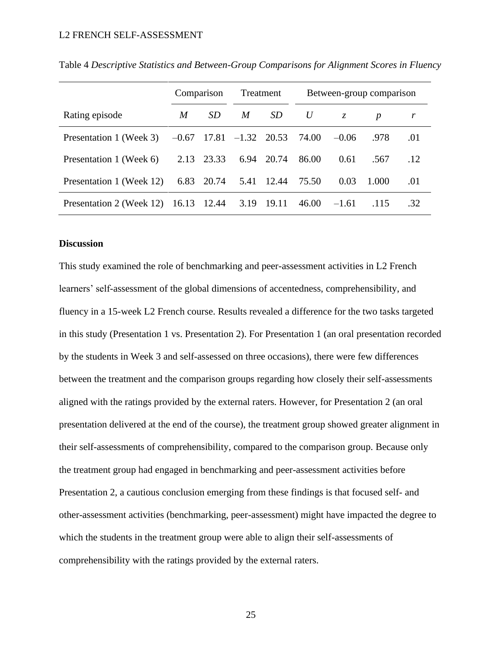|                                      |   | Comparison<br>Treatment |                             | Between-group comparison |       |         |                  |     |
|--------------------------------------|---|-------------------------|-----------------------------|--------------------------|-------|---------|------------------|-----|
| Rating episode                       | M | SD.                     | M                           | <i>SD</i>                | U     | Z.      | $\boldsymbol{p}$ |     |
| Presentation 1 (Week 3)              |   |                         | $-0.67$ 17.81 $-1.32$ 20.53 |                          | 74.00 | $-0.06$ | .978             | .01 |
| Presentation 1 (Week 6)              |   | 2.13 23.33              | 6.94                        | 20.74                    | 86.00 | 0.61    | .567             | .12 |
| Presentation 1 (Week 12)             |   | 6.83 20.74              |                             | 5.41 12.44 75.50         |       | 0.03    | 1.000            | .01 |
| Presentation 2 (Week 12) 16.13 12.44 |   |                         |                             | 3.19 19.11               | 46.00 | $-1.61$ | .115             | .32 |

Table 4 *Descriptive Statistics and Between-Group Comparisons for Alignment Scores in Fluency*

# **Discussion**

This study examined the role of benchmarking and peer-assessment activities in L2 French learners' self-assessment of the global dimensions of accentedness, comprehensibility, and fluency in a 15-week L2 French course. Results revealed a difference for the two tasks targeted in this study (Presentation 1 vs. Presentation 2). For Presentation 1 (an oral presentation recorded by the students in Week 3 and self-assessed on three occasions), there were few differences between the treatment and the comparison groups regarding how closely their self-assessments aligned with the ratings provided by the external raters. However, for Presentation 2 (an oral presentation delivered at the end of the course), the treatment group showed greater alignment in their self-assessments of comprehensibility, compared to the comparison group. Because only the treatment group had engaged in benchmarking and peer-assessment activities before Presentation 2, a cautious conclusion emerging from these findings is that focused self- and other-assessment activities (benchmarking, peer-assessment) might have impacted the degree to which the students in the treatment group were able to align their self-assessments of comprehensibility with the ratings provided by the external raters.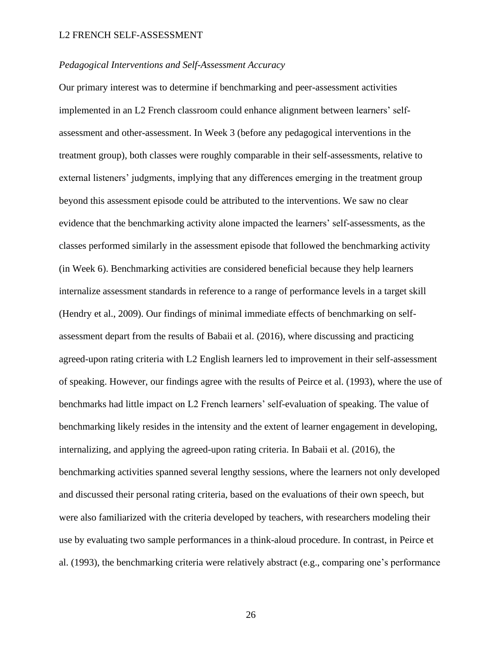# *Pedagogical Interventions and Self-Assessment Accuracy*

Our primary interest was to determine if benchmarking and peer-assessment activities implemented in an L2 French classroom could enhance alignment between learners' selfassessment and other-assessment. In Week 3 (before any pedagogical interventions in the treatment group), both classes were roughly comparable in their self-assessments, relative to external listeners' judgments, implying that any differences emerging in the treatment group beyond this assessment episode could be attributed to the interventions. We saw no clear evidence that the benchmarking activity alone impacted the learners' self-assessments, as the classes performed similarly in the assessment episode that followed the benchmarking activity (in Week 6). Benchmarking activities are considered beneficial because they help learners internalize assessment standards in reference to a range of performance levels in a target skill (Hendry et al., 2009). Our findings of minimal immediate effects of benchmarking on selfassessment depart from the results of Babaii et al. (2016), where discussing and practicing agreed-upon rating criteria with L2 English learners led to improvement in their self-assessment of speaking. However, our findings agree with the results of Peirce et al. (1993), where the use of benchmarks had little impact on L2 French learners' self-evaluation of speaking. The value of benchmarking likely resides in the intensity and the extent of learner engagement in developing, internalizing, and applying the agreed-upon rating criteria. In Babaii et al. (2016), the benchmarking activities spanned several lengthy sessions, where the learners not only developed and discussed their personal rating criteria, based on the evaluations of their own speech, but were also familiarized with the criteria developed by teachers, with researchers modeling their use by evaluating two sample performances in a think-aloud procedure. In contrast, in Peirce et al. (1993), the benchmarking criteria were relatively abstract (e.g., comparing one's performance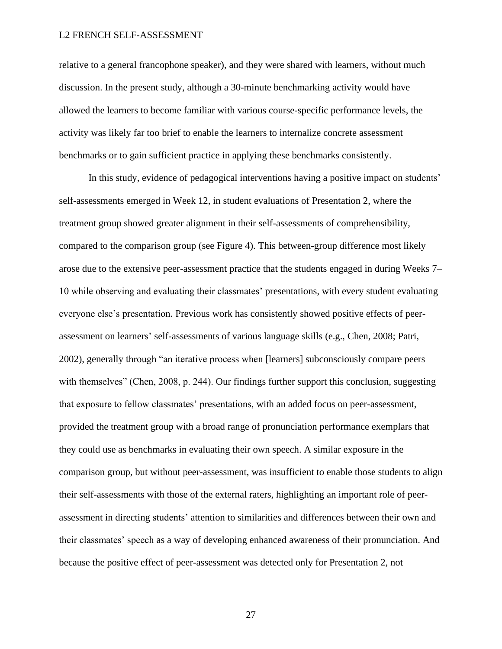relative to a general francophone speaker), and they were shared with learners, without much discussion. In the present study, although a 30-minute benchmarking activity would have allowed the learners to become familiar with various course-specific performance levels, the activity was likely far too brief to enable the learners to internalize concrete assessment benchmarks or to gain sufficient practice in applying these benchmarks consistently.

In this study, evidence of pedagogical interventions having a positive impact on students' self-assessments emerged in Week 12, in student evaluations of Presentation 2, where the treatment group showed greater alignment in their self-assessments of comprehensibility, compared to the comparison group (see Figure 4). This between-group difference most likely arose due to the extensive peer-assessment practice that the students engaged in during Weeks 7– 10 while observing and evaluating their classmates' presentations, with every student evaluating everyone else's presentation. Previous work has consistently showed positive effects of peerassessment on learners' self-assessments of various language skills (e.g., Chen, 2008; Patri, 2002), generally through "an iterative process when [learners] subconsciously compare peers with themselves" (Chen, 2008, p. 244). Our findings further support this conclusion, suggesting that exposure to fellow classmates' presentations, with an added focus on peer-assessment, provided the treatment group with a broad range of pronunciation performance exemplars that they could use as benchmarks in evaluating their own speech. A similar exposure in the comparison group, but without peer-assessment, was insufficient to enable those students to align their self-assessments with those of the external raters, highlighting an important role of peerassessment in directing students' attention to similarities and differences between their own and their classmates' speech as a way of developing enhanced awareness of their pronunciation. And because the positive effect of peer-assessment was detected only for Presentation 2, not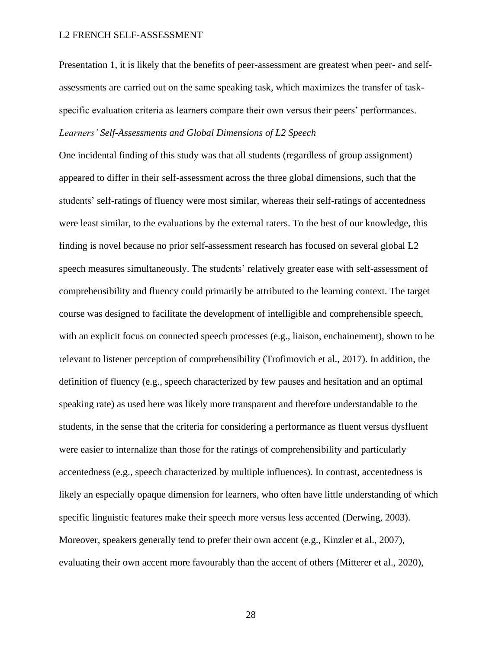Presentation 1, it is likely that the benefits of peer-assessment are greatest when peer- and selfassessments are carried out on the same speaking task, which maximizes the transfer of taskspecific evaluation criteria as learners compare their own versus their peers' performances. *Learners' Self-Assessments and Global Dimensions of L2 Speech*

One incidental finding of this study was that all students (regardless of group assignment) appeared to differ in their self-assessment across the three global dimensions, such that the students' self-ratings of fluency were most similar, whereas their self-ratings of accentedness were least similar, to the evaluations by the external raters. To the best of our knowledge, this finding is novel because no prior self-assessment research has focused on several global L2 speech measures simultaneously. The students' relatively greater ease with self-assessment of comprehensibility and fluency could primarily be attributed to the learning context. The target course was designed to facilitate the development of intelligible and comprehensible speech, with an explicit focus on connected speech processes (e.g., liaison, enchainement), shown to be relevant to listener perception of comprehensibility (Trofimovich et al., 2017). In addition, the definition of fluency (e.g., speech characterized by few pauses and hesitation and an optimal speaking rate) as used here was likely more transparent and therefore understandable to the students, in the sense that the criteria for considering a performance as fluent versus dysfluent were easier to internalize than those for the ratings of comprehensibility and particularly accentedness (e.g., speech characterized by multiple influences). In contrast, accentedness is likely an especially opaque dimension for learners, who often have little understanding of which specific linguistic features make their speech more versus less accented (Derwing, 2003). Moreover, speakers generally tend to prefer their own accent (e.g., Kinzler et al., 2007), evaluating their own accent more favourably than the accent of others (Mitterer et al., 2020),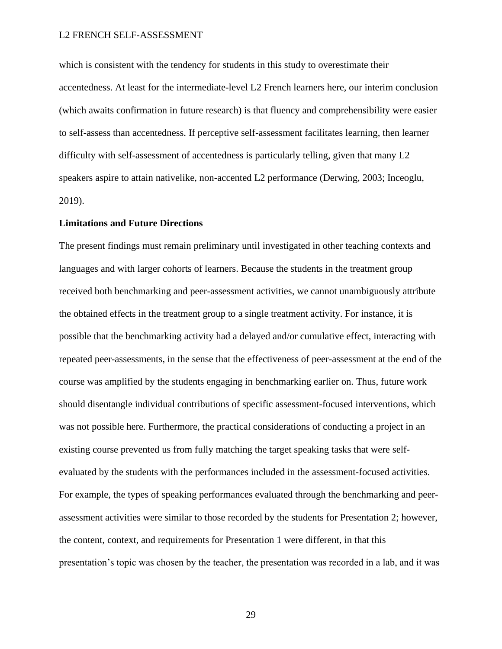which is consistent with the tendency for students in this study to overestimate their accentedness. At least for the intermediate-level L2 French learners here, our interim conclusion (which awaits confirmation in future research) is that fluency and comprehensibility were easier to self-assess than accentedness. If perceptive self-assessment facilitates learning, then learner difficulty with self-assessment of accentedness is particularly telling, given that many L2 speakers aspire to attain nativelike, non-accented L2 performance (Derwing, 2003; Inceoglu, 2019).

# **Limitations and Future Directions**

The present findings must remain preliminary until investigated in other teaching contexts and languages and with larger cohorts of learners. Because the students in the treatment group received both benchmarking and peer-assessment activities, we cannot unambiguously attribute the obtained effects in the treatment group to a single treatment activity. For instance, it is possible that the benchmarking activity had a delayed and/or cumulative effect, interacting with repeated peer-assessments, in the sense that the effectiveness of peer-assessment at the end of the course was amplified by the students engaging in benchmarking earlier on. Thus, future work should disentangle individual contributions of specific assessment-focused interventions, which was not possible here. Furthermore, the practical considerations of conducting a project in an existing course prevented us from fully matching the target speaking tasks that were selfevaluated by the students with the performances included in the assessment-focused activities. For example, the types of speaking performances evaluated through the benchmarking and peerassessment activities were similar to those recorded by the students for Presentation 2; however, the content, context, and requirements for Presentation 1 were different, in that this presentation's topic was chosen by the teacher, the presentation was recorded in a lab, and it was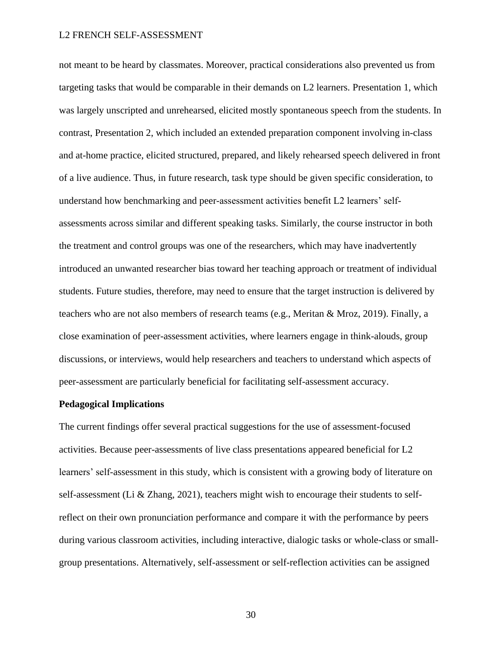not meant to be heard by classmates. Moreover, practical considerations also prevented us from targeting tasks that would be comparable in their demands on L2 learners. Presentation 1, which was largely unscripted and unrehearsed, elicited mostly spontaneous speech from the students. In contrast, Presentation 2, which included an extended preparation component involving in-class and at-home practice, elicited structured, prepared, and likely rehearsed speech delivered in front of a live audience. Thus, in future research, task type should be given specific consideration, to understand how benchmarking and peer-assessment activities benefit L2 learners' selfassessments across similar and different speaking tasks. Similarly, the course instructor in both the treatment and control groups was one of the researchers, which may have inadvertently introduced an unwanted researcher bias toward her teaching approach or treatment of individual students. Future studies, therefore, may need to ensure that the target instruction is delivered by teachers who are not also members of research teams (e.g., Meritan & Mroz, 2019). Finally, a close examination of peer-assessment activities, where learners engage in think-alouds, group discussions, or interviews, would help researchers and teachers to understand which aspects of peer-assessment are particularly beneficial for facilitating self-assessment accuracy.

#### **Pedagogical Implications**

The current findings offer several practical suggestions for the use of assessment-focused activities. Because peer-assessments of live class presentations appeared beneficial for L2 learners' self-assessment in this study, which is consistent with a growing body of literature on self-assessment (Li & Zhang, 2021), teachers might wish to encourage their students to selfreflect on their own pronunciation performance and compare it with the performance by peers during various classroom activities, including interactive, dialogic tasks or whole-class or smallgroup presentations. Alternatively, self-assessment or self-reflection activities can be assigned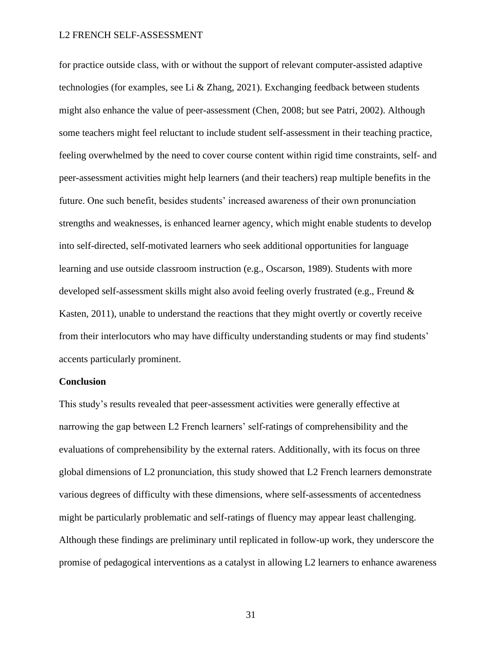for practice outside class, with or without the support of relevant computer-assisted adaptive technologies (for examples, see Li & Zhang, 2021). Exchanging feedback between students might also enhance the value of peer-assessment (Chen, 2008; but see Patri, 2002). Although some teachers might feel reluctant to include student self-assessment in their teaching practice, feeling overwhelmed by the need to cover course content within rigid time constraints, self- and peer-assessment activities might help learners (and their teachers) reap multiple benefits in the future. One such benefit, besides students' increased awareness of their own pronunciation strengths and weaknesses, is enhanced learner agency, which might enable students to develop into self-directed, self-motivated learners who seek additional opportunities for language learning and use outside classroom instruction (e.g., Oscarson, 1989). Students with more developed self-assessment skills might also avoid feeling overly frustrated (e.g., Freund & Kasten, 2011), unable to understand the reactions that they might overtly or covertly receive from their interlocutors who may have difficulty understanding students or may find students' accents particularly prominent.

### **Conclusion**

This study's results revealed that peer-assessment activities were generally effective at narrowing the gap between L2 French learners' self-ratings of comprehensibility and the evaluations of comprehensibility by the external raters. Additionally, with its focus on three global dimensions of L2 pronunciation, this study showed that L2 French learners demonstrate various degrees of difficulty with these dimensions, where self-assessments of accentedness might be particularly problematic and self-ratings of fluency may appear least challenging. Although these findings are preliminary until replicated in follow-up work, they underscore the promise of pedagogical interventions as a catalyst in allowing L2 learners to enhance awareness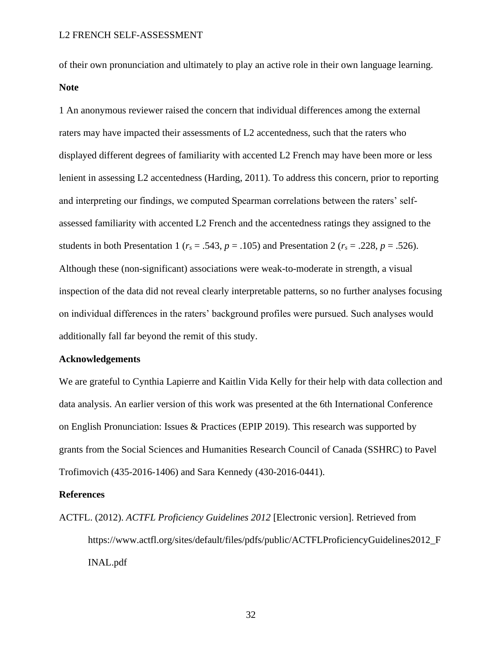of their own pronunciation and ultimately to play an active role in their own language learning. **Note**

1 An anonymous reviewer raised the concern that individual differences among the external raters may have impacted their assessments of L2 accentedness, such that the raters who displayed different degrees of familiarity with accented L2 French may have been more or less lenient in assessing L2 accentedness (Harding, 2011). To address this concern, prior to reporting and interpreting our findings, we computed Spearman correlations between the raters' selfassessed familiarity with accented L2 French and the accentedness ratings they assigned to the students in both Presentation 1 ( $r_s = .543$ ,  $p = .105$ ) and Presentation 2 ( $r_s = .228$ ,  $p = .526$ ). Although these (non-significant) associations were weak-to-moderate in strength, a visual inspection of the data did not reveal clearly interpretable patterns, so no further analyses focusing on individual differences in the raters' background profiles were pursued. Such analyses would additionally fall far beyond the remit of this study.

#### **Acknowledgements**

We are grateful to Cynthia Lapierre and Kaitlin Vida Kelly for their help with data collection and data analysis. An earlier version of this work was presented at the 6th International Conference on English Pronunciation: Issues & Practices (EPIP 2019). This research was supported by grants from the Social Sciences and Humanities Research Council of Canada (SSHRC) to Pavel Trofimovich (435-2016-1406) and Sara Kennedy (430-2016-0441).

# **References**

ACTFL. (2012). *ACTFL Proficiency Guidelines 2012* [Electronic version]. Retrieved from https://www.actfl.org/sites/default/files/pdfs/public/ACTFLProficiencyGuidelines2012\_F INAL.pdf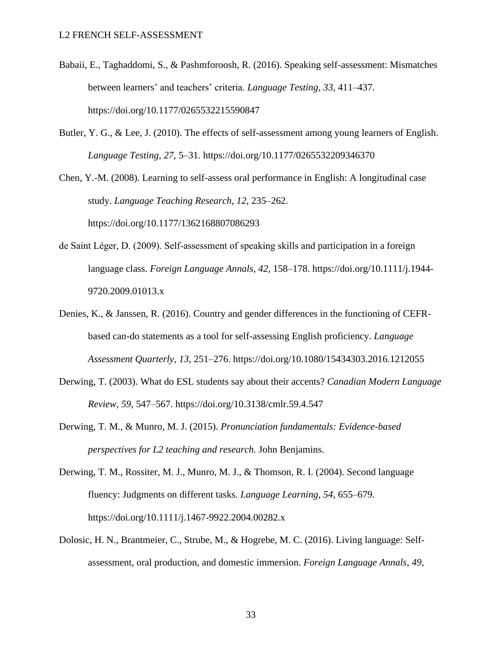- Babaii, E., Taghaddomi, S., & Pashmforoosh, R. (2016). Speaking self-assessment: Mismatches between learners' and teachers' criteria. *Language Testing*, *33*, 411–437. https://doi.org/10.1177/0265532215590847
- Butler, Y. G., & Lee, J. (2010). The effects of self-assessment among young learners of English. *Language Testing*, *27*, 5–31. https://doi.org/10.1177/0265532209346370

Chen, Y.-M. (2008). Learning to self-assess oral performance in English: A longitudinal case study. *Language Teaching Research*, *12*, 235–262.

https://doi.org/10.1177/1362168807086293

- de Saint Léger, D. (2009). Self‐assessment of speaking skills and participation in a foreign language class. *Foreign Language Annals*, *42*, 158–178. https://doi.org/10.1111/j.1944- 9720.2009.01013.x
- Denies, K., & Janssen, R. (2016). Country and gender differences in the functioning of CEFRbased can-do statements as a tool for self-assessing English proficiency. *Language Assessment Quarterly*, *13*, 251–276. https://doi.org/10.1080/15434303.2016.1212055
- Derwing, T. (2003). What do ESL students say about their accents? *Canadian Modern Language Review*, *59*, 547–567. https://doi.org/10.3138/cmlr.59.4.547
- Derwing, T. M., & Munro, M. J. (2015). *Pronunciation fundamentals: Evidence-based perspectives for L2 teaching and research.* John Benjamins.
- Derwing, T. M., Rossiter, M. J., Munro, M. J., & Thomson, R. I. (2004). Second language fluency: Judgments on different tasks. *Language Learning*, *54*, 655–679. https://doi.org/10.1111/j.1467-9922.2004.00282.x
- Dolosic, H. N., Brantmeier, C., Strube, M., & Hogrebe, M. C. (2016). Living language: Selfassessment, oral production, and domestic immersion. *Foreign Language Annals*, *49*,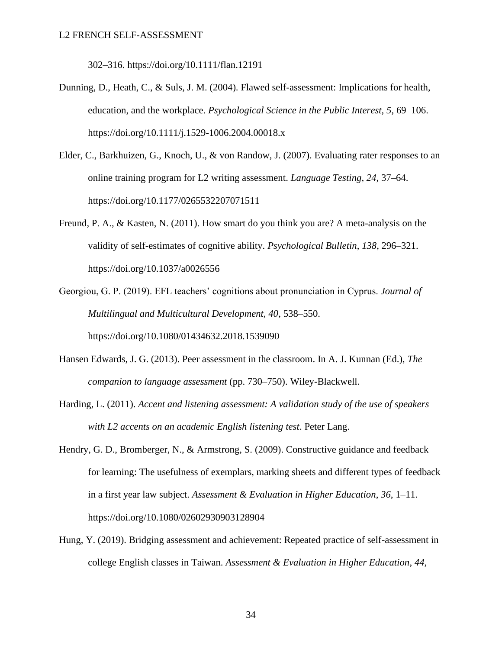302–316. https://doi.org/10.1111/flan.12191

- Dunning, D., Heath, C., & Suls, J. M. (2004). Flawed self-assessment: Implications for health, education, and the workplace. *Psychological Science in the Public Interest, 5*, 69–106. https://doi.org/10.1111/j.1529-1006.2004.00018.x
- Elder, C., Barkhuizen, G., Knoch, U., & von Randow, J. (2007). Evaluating rater responses to an online training program for L2 writing assessment. *Language Testing*, *24*, 37–64. https://doi.org/10.1177/0265532207071511
- Freund, P. A., & Kasten, N. (2011). How smart do you think you are? A meta-analysis on the validity of self-estimates of cognitive ability. *Psychological Bulletin*, *138*, 296–321. https://doi.org/10.1037/a0026556
- Georgiou, G. P. (2019). EFL teachers' cognitions about pronunciation in Cyprus. *Journal of Multilingual and Multicultural Development, 40*, 538–550. https://doi.org/10.1080/01434632.2018.1539090
- Hansen Edwards, J. G. (2013). Peer assessment in the classroom. In A. J. Kunnan (Ed.), *The companion to language assessment* (pp. 730–750). Wiley-Blackwell.
- Harding, L. (2011). *Accent and listening assessment: A validation study of the use of speakers with L2 accents on an academic English listening test*. Peter Lang.
- Hendry, G. D., Bromberger, N., & Armstrong, S. (2009). Constructive guidance and feedback for learning: The usefulness of exemplars, marking sheets and different types of feedback in a first year law subject. *Assessment & Evaluation in Higher Education*, *36*, 1–11. https://doi.org/10.1080/02602930903128904
- Hung, Y. (2019). Bridging assessment and achievement: Repeated practice of self-assessment in college English classes in Taiwan. *Assessment & Evaluation in Higher Education*, *44*,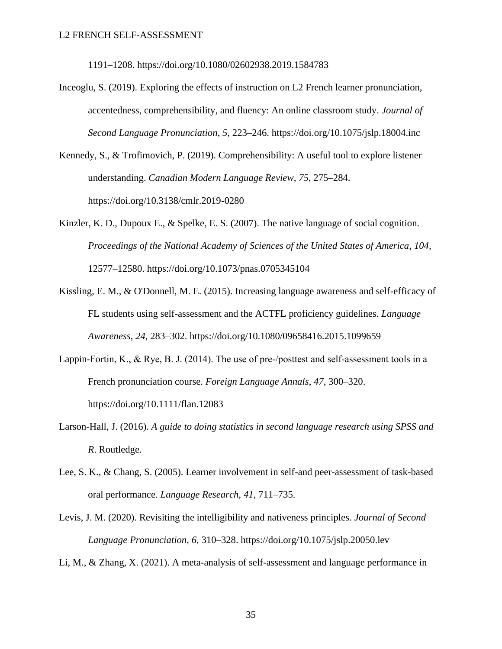1191–1208. https://doi.org/10.1080/02602938.2019.1584783

- Inceoglu, S. (2019). Exploring the effects of instruction on L2 French learner pronunciation, accentedness, comprehensibility, and fluency: An online classroom study. *Journal of Second Language Pronunciation*, *5*, 223–246. https://doi.org/10.1075/jslp.18004.inc
- Kennedy, S., & Trofimovich, P. (2019). Comprehensibility: A useful tool to explore listener understanding. *Canadian Modern Language Review*, *75*, 275–284. https://doi.org/10.3138/cmlr.2019-0280
- Kinzler, K. D., Dupoux E., & Spelke, E. S. (2007). The native language of social cognition. *Proceedings of the National Academy of Sciences of the United States of America*, *104,* 12577–12580. https://doi.org/10.1073/pnas.0705345104
- Kissling, E. M., & O'Donnell, M. E. (2015). Increasing language awareness and self-efficacy of FL students using self-assessment and the ACTFL proficiency guidelines. *Language Awareness*, *24*, 283–302. https://doi.org/10.1080/09658416.2015.1099659
- Lappin-Fortin, K., & Rye, B. J. (2014). The use of pre-/posttest and self-assessment tools in a French pronunciation course. *Foreign Language Annals*, *47*, 300–320. https://doi.org/10.1111/flan.12083
- Larson-Hall, J. (2016). *A guide to doing statistics in second language research using SPSS and R*. Routledge.
- Lee, S. K., & Chang, S. (2005). Learner involvement in self-and peer-assessment of task-based oral performance. *Language Research, 41*, 711–735.
- Levis, J. M. (2020). Revisiting the intelligibility and nativeness principles. *Journal of Second Language Pronunciation*, *6*, 310–328. https://doi.org/10.1075/jslp.20050.lev
- Li, M., & Zhang, X. (2021). A meta-analysis of self-assessment and language performance in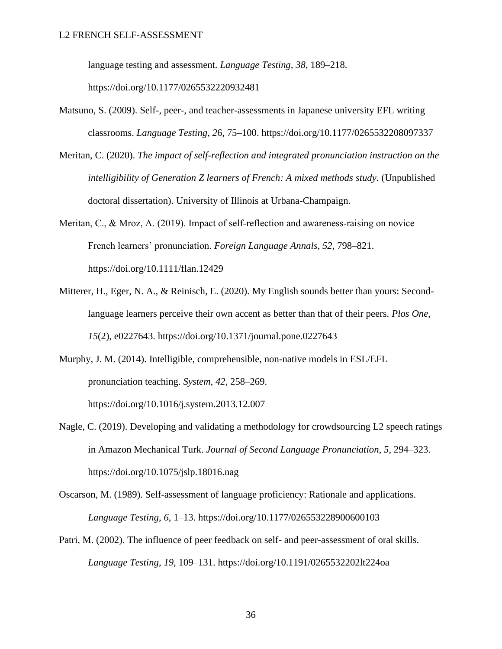language testing and assessment. *Language Testing, 38*, 189–218.

https://doi.org/10.1177/0265532220932481

- Matsuno, S. (2009). Self-, peer-, and teacher-assessments in Japanese university EFL writing classrooms. *Language Testing*, *2*6, 75–100. https://doi.org/10.1177/0265532208097337
- Meritan, C. (2020). *The impact of self-reflection and integrated pronunciation instruction on the intelligibility of Generation Z learners of French: A mixed methods study.* (Unpublished doctoral dissertation). University of Illinois at Urbana-Champaign.
- Meritan, C., & Mroz, A. (2019). Impact of self-reflection and awareness-raising on novice French learners' pronunciation. *Foreign Language Annals*, *52*, 798–821. https://doi.org/10.1111/flan.12429
- Mitterer, H., Eger, N. A., & Reinisch, E. (2020). My English sounds better than yours: Secondlanguage learners perceive their own accent as better than that of their peers. *Plos One*, *15*(2), e0227643. https://doi.org/10.1371/journal.pone.0227643
- Murphy, J. M. (2014). Intelligible, comprehensible, non-native models in ESL/EFL pronunciation teaching. *System, 42*, 258–269. https://doi.org/10.1016/j.system.2013.12.007
- Nagle, C. (2019). Developing and validating a methodology for crowdsourcing L2 speech ratings in Amazon Mechanical Turk. *Journal of Second Language Pronunciation*, *5*, 294–323. https://doi.org/10.1075/jslp.18016.nag
- Oscarson, M. (1989). Self-assessment of language proficiency: Rationale and applications. *Language Testing*, *6*, 1–13. https://doi.org/10.1177/026553228900600103
- Patri, M. (2002). The influence of peer feedback on self- and peer-assessment of oral skills. *Language Testing*, *19*, 109–131. https://doi.org/10.1191/0265532202lt224oa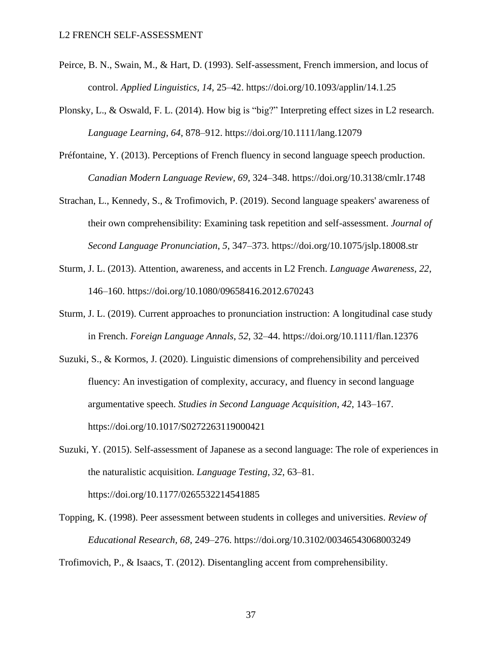- Peirce, B. N., Swain, M., & Hart, D. (1993). Self-assessment, French immersion, and locus of control. *Applied Linguistics*, *14*, 25–42. https://doi.org/10.1093/applin/14.1.25
- Plonsky, L., & Oswald, F. L. (2014). How big is "big?" Interpreting effect sizes in L2 research. *Language Learning*, *64*, 878–912. https://doi.org/10.1111/lang.12079
- Préfontaine, Y. (2013). Perceptions of French fluency in second language speech production. *Canadian Modern Language Review, 69*, 324–348. https://doi.org/10.3138/cmlr.1748
- Strachan, L., Kennedy, S., & Trofimovich, P. (2019). Second language speakers' awareness of their own comprehensibility: Examining task repetition and self-assessment. *Journal of Second Language Pronunciation*, *5*, 347–373. https://doi.org/10.1075/jslp.18008.str
- Sturm, J. L. (2013). Attention, awareness, and accents in L2 French. *Language Awareness*, *22*, 146–160. https://doi.org/10.1080/09658416.2012.670243
- Sturm, J. L. (2019). Current approaches to pronunciation instruction: A longitudinal case study in French. *Foreign Language Annals*, *52*, 32–44. https://doi.org/10.1111/flan.12376
- Suzuki, S., & Kormos, J. (2020). Linguistic dimensions of comprehensibility and perceived fluency: An investigation of complexity, accuracy, and fluency in second language argumentative speech. *Studies in Second Language Acquisition*, *42*, 143–167. https://doi.org/10.1017/S0272263119000421
- Suzuki, Y. (2015). Self-assessment of Japanese as a second language: The role of experiences in the naturalistic acquisition. *Language Testing*, *32*, 63–81. https://doi.org/10.1177/0265532214541885
- Topping, K. (1998). Peer assessment between students in colleges and universities. *Review of Educational Research, 68*, 249–276. https://doi.org/10.3102/00346543068003249

Trofimovich, P., & Isaacs, T. (2012). Disentangling accent from comprehensibility.